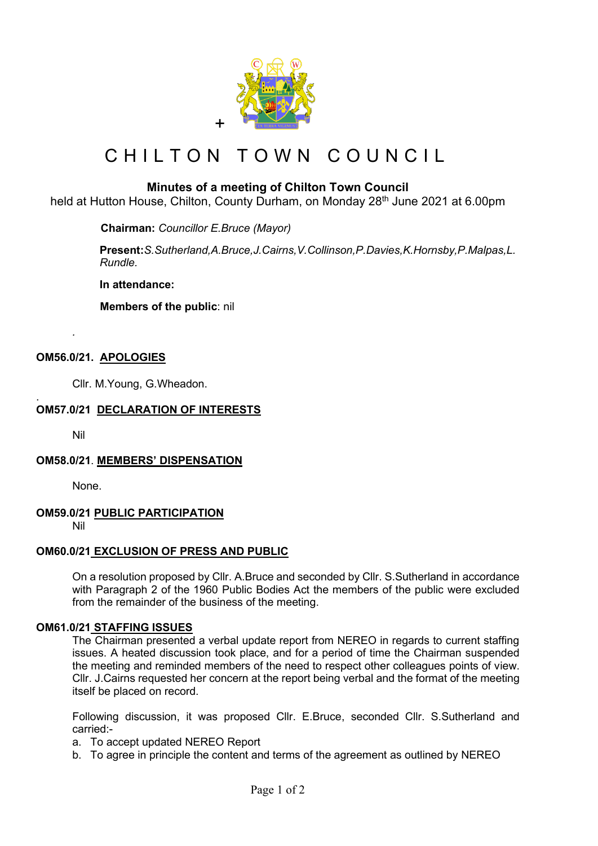

# CHILTON TOWN COUNCIL

## **Minutes of a meeting of Chilton Town Council**

held at Hutton House, Chilton, County Durham, on Monday 28<sup>th</sup> June 2021 at 6.00pm

 **Chairman:** *Councillor E.Bruce (Mayor)*

**Present:***S.Sutherland,A.Bruce,J.Cairns,V.Collinson,P.Davies,K.Hornsby,P.Malpas,L. Rundle.*

**In attendance:** 

 **Members of the public**: nil

## **OM56.0/21. APOLOGIES**

Cllr. M.Young, G.Wheadon.

#### . **OM57.0/21 DECLARATION OF INTERESTS**

Nil

*.*

#### **OM58.0/21**. **MEMBERS' DISPENSATION**

None.

## **OM59.0/21 PUBLIC PARTICIPATION**

Nil

## **OM60.0/21 EXCLUSION OF PRESS AND PUBLIC**

On a resolution proposed by Cllr. A.Bruce and seconded by Cllr. S.Sutherland in accordance with Paragraph 2 of the 1960 Public Bodies Act the members of the public were excluded from the remainder of the business of the meeting.

#### **OM61.0/21 STAFFING ISSUES**

The Chairman presented a verbal update report from NEREO in regards to current staffing issues. A heated discussion took place, and for a period of time the Chairman suspended the meeting and reminded members of the need to respect other colleagues points of view. Cllr. J.Cairns requested her concern at the report being verbal and the format of the meeting itself be placed on record.

Following discussion, it was proposed Cllr. E.Bruce, seconded Cllr. S.Sutherland and carried:-

- a. To accept updated NEREO Report
- b. To agree in principle the content and terms of the agreement as outlined by NEREO